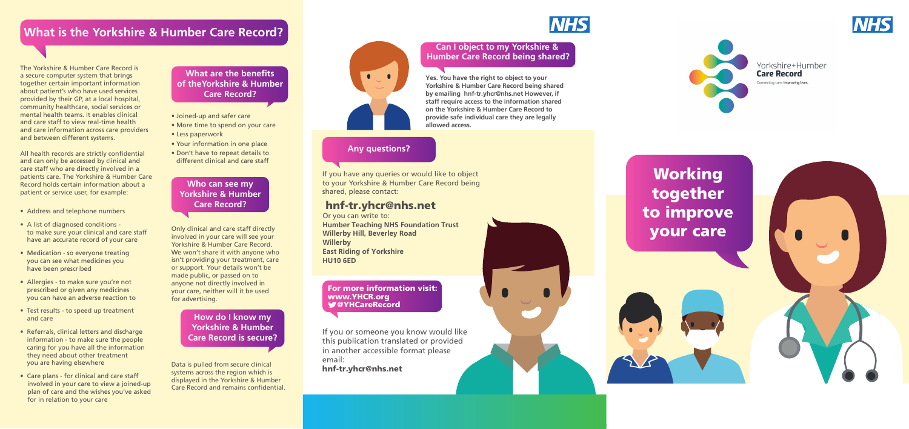

## **What is the Yorkshire & Humber Care Record?**

# Working together to improve your care



The Yorkshire & Humber Care Record is a secure computer system that brings together certain important information about patient's who have used services provided by their GP, at a local hospital, community healthcare, social services or mental health teams. It enables clinical and care staff to view real-time health and care information across care providers and between different systems.

All health records are strictly confidential and can only be accessed by clinical and care staff who are directly involved in a patients care. The Yorkshire & Humber Care Record holds certain information about a patient or service user, for example:

#### **What are the benefits of theYorkshire & Humber Care Record?**

Data is pulled from secure clinical systems across the region which is displayed in the Yorkshire & Humber Care Record and remains confidential.



- Address and telephone numbers
- A list of diagnosed conditions to make sure your clinical and care staff have an accurate record of your care
- Medication so everyone treating you can see what medicines you have been prescribed
- Allergies to make sure you're not prescribed or given any medicines you can have an adverse reaction to
- Test results to speed up treatment and care
- Referrals, clinical letters and discharge information - to make sure the people caring for you have all the information they need about other treatment you are having elsewhere
- Care plans for clinical and care staff involved in your care to view a joined-up plan of care and the wishes you've asked for in relation to your care

Only clinical and care staff directly involved in your care will see your Yorkshire & Humber Care Record. We won't share it with anyone who isn't providing your treatment, care or support. Your details won't be made public, or passed on to anyone not directly involved in your care, neither will it be used for advertising.

#### **Who can see my Yorkshire & Humber Care Record?**

- Joined-up and safer care
- More time to spend on your care
- Less paperwork
- Your information in one place
- Don't have to repeat details to different clinical and care staff

**How do I know my Yorkshire & Humber Care Record is secure?**

#### **Can I object to my Yorkshire & Humber Care Record being shared?**

**Yes. You have the right to object to your Yorkshire & Humber Care Record being shared by emailing hnf-tr.yhcr@nhs.net However, if staff require access to the information shared on the Yorkshire & Humber Care Record to provide safe individual care they are legally allowed access.** 

#### **Any questions?**

If you have any queries or would like to object to your Yorkshire & Humber Care Record being shared, please contact:

### hnf-tr.yhcr@nhs.net

Or you can write to: **Humber Teaching NHS Foundation Trust Willerby Hill, Beverley Road Willerby East Riding of Yorkshire HU10 6ED**

If you or someone you know would like this publication translated or provided in another accessible format please email: hnf-tr.yhcr@nhs.net





#### Yorkshire+Humber **Care Record**

Connecting care. Improving lives.

For more information visit: www.YHCR.org @YHCareRecord